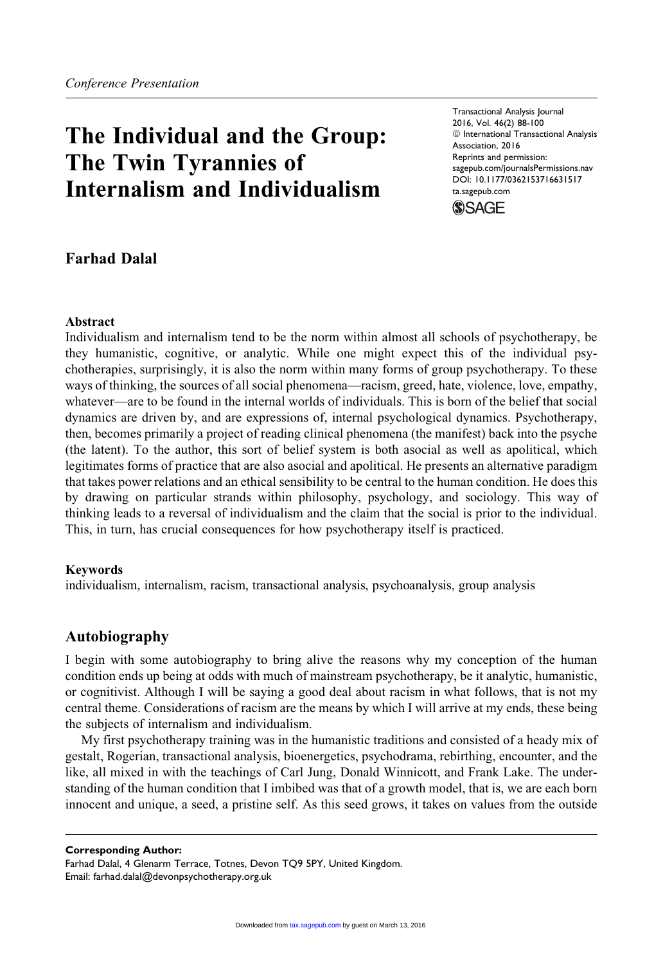# The Individual and the Group: The Twin Tyrannies of Internalism and Individualism

Transactional Analysis Journal 2016, Vol. 46(2) 88-100  $©$  International Transactional Analysis Association, 2016 Reprints and permission: [sagepub.com/journalsPermissions.nav](http://www.sagepub.com/journalsPermissions.nav) DOI: 10.1177/0362153716631517 [ta.sagepub.com](http://ta.sagepub.com)



# Farhad Dalal

## Abstract

Individualism and internalism tend to be the norm within almost all schools of psychotherapy, be they humanistic, cognitive, or analytic. While one might expect this of the individual psychotherapies, surprisingly, it is also the norm within many forms of group psychotherapy. To these ways of thinking, the sources of all social phenomena—racism, greed, hate, violence, love, empathy, whatever—are to be found in the internal worlds of individuals. This is born of the belief that social dynamics are driven by, and are expressions of, internal psychological dynamics. Psychotherapy, then, becomes primarily a project of reading clinical phenomena (the manifest) back into the psyche (the latent). To the author, this sort of belief system is both asocial as well as apolitical, which legitimates forms of practice that are also asocial and apolitical. He presents an alternative paradigm that takes power relations and an ethical sensibility to be central to the human condition. He does this by drawing on particular strands within philosophy, psychology, and sociology. This way of thinking leads to a reversal of individualism and the claim that the social is prior to the individual. This, in turn, has crucial consequences for how psychotherapy itself is practiced.

## Keywords

individualism, internalism, racism, transactional analysis, psychoanalysis, group analysis

# Autobiography

I begin with some autobiography to bring alive the reasons why my conception of the human condition ends up being at odds with much of mainstream psychotherapy, be it analytic, humanistic, or cognitivist. Although I will be saying a good deal about racism in what follows, that is not my central theme. Considerations of racism are the means by which I will arrive at my ends, these being the subjects of internalism and individualism.

My first psychotherapy training was in the humanistic traditions and consisted of a heady mix of gestalt, Rogerian, transactional analysis, bioenergetics, psychodrama, rebirthing, encounter, and the like, all mixed in with the teachings of Carl Jung, Donald Winnicott, and Frank Lake. The understanding of the human condition that I imbibed was that of a growth model, that is, we are each born innocent and unique, a seed, a pristine self. As this seed grows, it takes on values from the outside

Corresponding Author:

Farhad Dalal, 4 Glenarm Terrace, Totnes, Devon TQ9 5PY, United Kingdom. Email: farhad.dalal@devonpsychotherapy.org.uk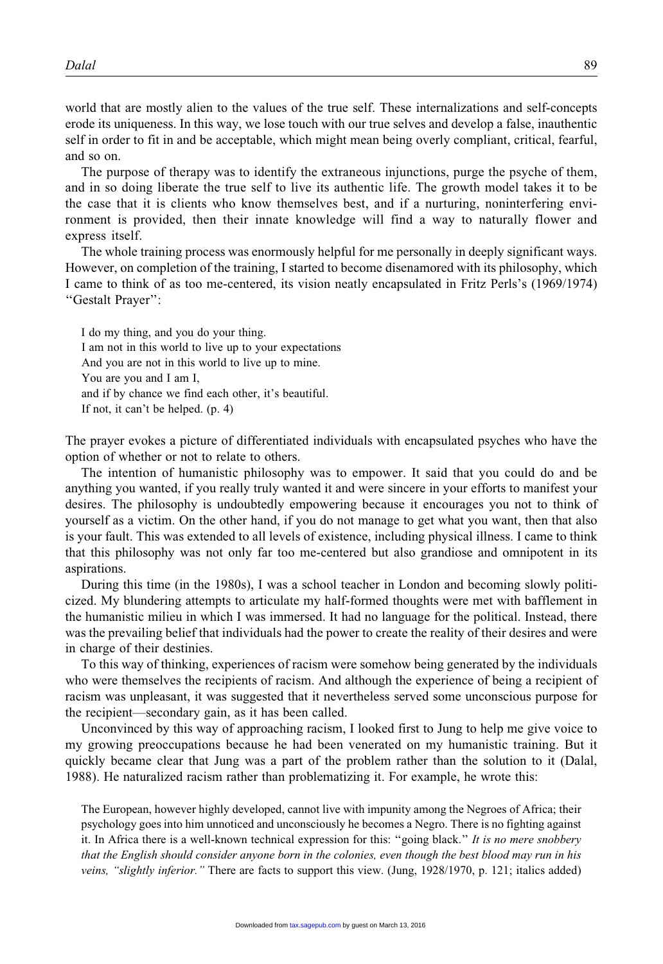world that are mostly alien to the values of the true self. These internalizations and self-concepts erode its uniqueness. In this way, we lose touch with our true selves and develop a false, inauthentic self in order to fit in and be acceptable, which might mean being overly compliant, critical, fearful, and so on.

The purpose of therapy was to identify the extraneous injunctions, purge the psyche of them, and in so doing liberate the true self to live its authentic life. The growth model takes it to be the case that it is clients who know themselves best, and if a nurturing, noninterfering environment is provided, then their innate knowledge will find a way to naturally flower and express itself.

The whole training process was enormously helpful for me personally in deeply significant ways. However, on completion of the training, I started to become disenamored with its philosophy, which I came to think of as too me-centered, its vision neatly encapsulated in Fritz Perls's (1969/1974) ''Gestalt Prayer'':

I do my thing, and you do your thing. I am not in this world to live up to your expectations And you are not in this world to live up to mine. You are you and I am I, and if by chance we find each other, it's beautiful. If not, it can't be helped. (p. 4)

The prayer evokes a picture of differentiated individuals with encapsulated psyches who have the option of whether or not to relate to others.

The intention of humanistic philosophy was to empower. It said that you could do and be anything you wanted, if you really truly wanted it and were sincere in your efforts to manifest your desires. The philosophy is undoubtedly empowering because it encourages you not to think of yourself as a victim. On the other hand, if you do not manage to get what you want, then that also is your fault. This was extended to all levels of existence, including physical illness. I came to think that this philosophy was not only far too me-centered but also grandiose and omnipotent in its aspirations.

During this time (in the 1980s), I was a school teacher in London and becoming slowly politicized. My blundering attempts to articulate my half-formed thoughts were met with bafflement in the humanistic milieu in which I was immersed. It had no language for the political. Instead, there was the prevailing belief that individuals had the power to create the reality of their desires and were in charge of their destinies.

To this way of thinking, experiences of racism were somehow being generated by the individuals who were themselves the recipients of racism. And although the experience of being a recipient of racism was unpleasant, it was suggested that it nevertheless served some unconscious purpose for the recipient—secondary gain, as it has been called.

Unconvinced by this way of approaching racism, I looked first to Jung to help me give voice to my growing preoccupations because he had been venerated on my humanistic training. But it quickly became clear that Jung was a part of the problem rather than the solution to it (Dalal, 1988). He naturalized racism rather than problematizing it. For example, he wrote this:

The European, however highly developed, cannot live with impunity among the Negroes of Africa; their psychology goes into him unnoticed and unconsciously he becomes a Negro. There is no fighting against it. In Africa there is a well-known technical expression for this: "going black." It is no mere snobbery that the English should consider anyone born in the colonies, even though the best blood may run in his veins, "slightly inferior." There are facts to support this view. (Jung, 1928/1970, p. 121; italics added)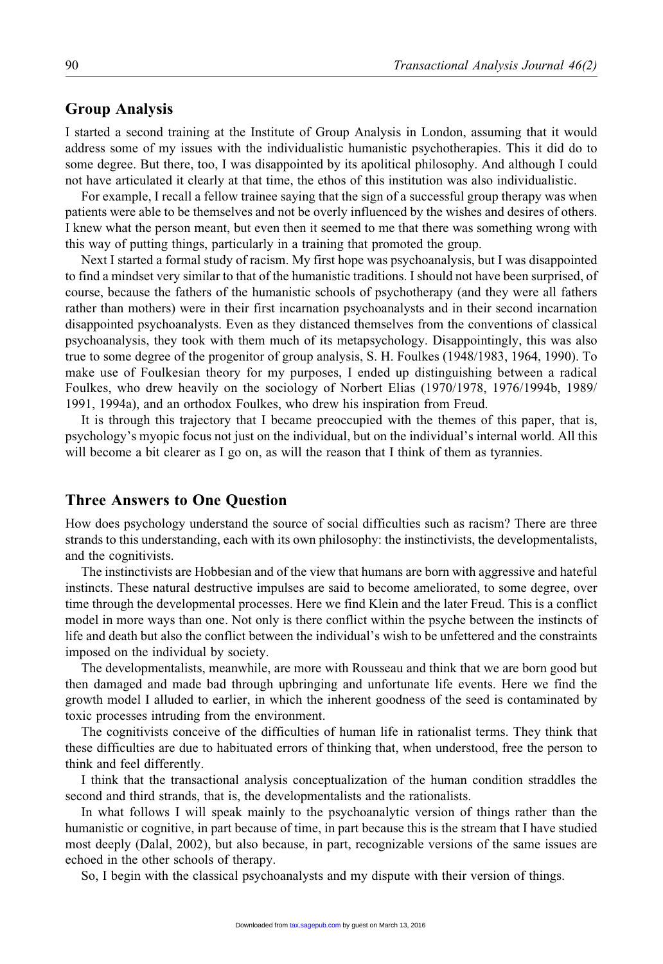#### Group Analysis

I started a second training at the Institute of Group Analysis in London, assuming that it would address some of my issues with the individualistic humanistic psychotherapies. This it did do to some degree. But there, too, I was disappointed by its apolitical philosophy. And although I could not have articulated it clearly at that time, the ethos of this institution was also individualistic.

For example, I recall a fellow trainee saying that the sign of a successful group therapy was when patients were able to be themselves and not be overly influenced by the wishes and desires of others. I knew what the person meant, but even then it seemed to me that there was something wrong with this way of putting things, particularly in a training that promoted the group.

Next I started a formal study of racism. My first hope was psychoanalysis, but I was disappointed to find a mindset very similar to that of the humanistic traditions. I should not have been surprised, of course, because the fathers of the humanistic schools of psychotherapy (and they were all fathers rather than mothers) were in their first incarnation psychoanalysts and in their second incarnation disappointed psychoanalysts. Even as they distanced themselves from the conventions of classical psychoanalysis, they took with them much of its metapsychology. Disappointingly, this was also true to some degree of the progenitor of group analysis, S. H. Foulkes (1948/1983, 1964, 1990). To make use of Foulkesian theory for my purposes, I ended up distinguishing between a radical Foulkes, who drew heavily on the sociology of Norbert Elias (1970/1978, 1976/1994b, 1989/ 1991, 1994a), and an orthodox Foulkes, who drew his inspiration from Freud.

It is through this trajectory that I became preoccupied with the themes of this paper, that is, psychology's myopic focus not just on the individual, but on the individual's internal world. All this will become a bit clearer as I go on, as will the reason that I think of them as tyrannies.

## Three Answers to One Question

How does psychology understand the source of social difficulties such as racism? There are three strands to this understanding, each with its own philosophy: the instinctivists, the developmentalists, and the cognitivists.

The instinctivists are Hobbesian and of the view that humans are born with aggressive and hateful instincts. These natural destructive impulses are said to become ameliorated, to some degree, over time through the developmental processes. Here we find Klein and the later Freud. This is a conflict model in more ways than one. Not only is there conflict within the psyche between the instincts of life and death but also the conflict between the individual's wish to be unfettered and the constraints imposed on the individual by society.

The developmentalists, meanwhile, are more with Rousseau and think that we are born good but then damaged and made bad through upbringing and unfortunate life events. Here we find the growth model I alluded to earlier, in which the inherent goodness of the seed is contaminated by toxic processes intruding from the environment.

The cognitivists conceive of the difficulties of human life in rationalist terms. They think that these difficulties are due to habituated errors of thinking that, when understood, free the person to think and feel differently.

I think that the transactional analysis conceptualization of the human condition straddles the second and third strands, that is, the developmentalists and the rationalists.

In what follows I will speak mainly to the psychoanalytic version of things rather than the humanistic or cognitive, in part because of time, in part because this is the stream that I have studied most deeply (Dalal, 2002), but also because, in part, recognizable versions of the same issues are echoed in the other schools of therapy.

So, I begin with the classical psychoanalysts and my dispute with their version of things.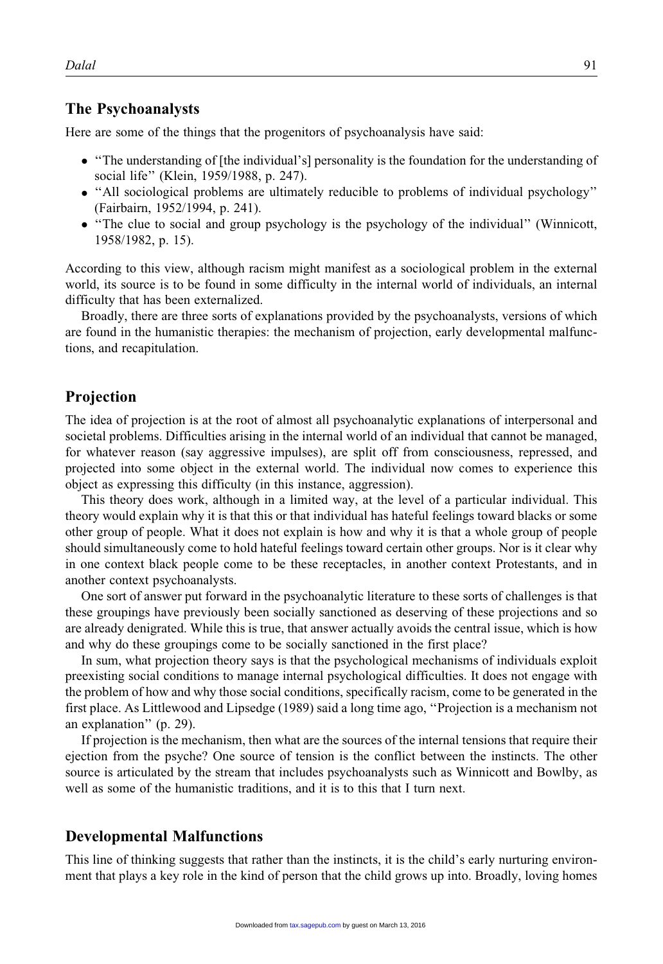#### The Psychoanalysts

Here are some of the things that the progenitors of psychoanalysis have said:

- ''The understanding of [the individual's] personality is the foundation for the understanding of social life'' (Klein, 1959/1988, p. 247).
- "All sociological problems are ultimately reducible to problems of individual psychology" (Fairbairn, 1952/1994, p. 241).
- ''The clue to social and group psychology is the psychology of the individual'' (Winnicott, 1958/1982, p. 15).

According to this view, although racism might manifest as a sociological problem in the external world, its source is to be found in some difficulty in the internal world of individuals, an internal difficulty that has been externalized.

Broadly, there are three sorts of explanations provided by the psychoanalysts, versions of which are found in the humanistic therapies: the mechanism of projection, early developmental malfunctions, and recapitulation.

# Projection

The idea of projection is at the root of almost all psychoanalytic explanations of interpersonal and societal problems. Difficulties arising in the internal world of an individual that cannot be managed, for whatever reason (say aggressive impulses), are split off from consciousness, repressed, and projected into some object in the external world. The individual now comes to experience this object as expressing this difficulty (in this instance, aggression).

This theory does work, although in a limited way, at the level of a particular individual. This theory would explain why it is that this or that individual has hateful feelings toward blacks or some other group of people. What it does not explain is how and why it is that a whole group of people should simultaneously come to hold hateful feelings toward certain other groups. Nor is it clear why in one context black people come to be these receptacles, in another context Protestants, and in another context psychoanalysts.

One sort of answer put forward in the psychoanalytic literature to these sorts of challenges is that these groupings have previously been socially sanctioned as deserving of these projections and so are already denigrated. While this is true, that answer actually avoids the central issue, which is how and why do these groupings come to be socially sanctioned in the first place?

In sum, what projection theory says is that the psychological mechanisms of individuals exploit preexisting social conditions to manage internal psychological difficulties. It does not engage with the problem of how and why those social conditions, specifically racism, come to be generated in the first place. As Littlewood and Lipsedge (1989) said a long time ago, ''Projection is a mechanism not an explanation'' (p. 29).

If projection is the mechanism, then what are the sources of the internal tensions that require their ejection from the psyche? One source of tension is the conflict between the instincts. The other source is articulated by the stream that includes psychoanalysts such as Winnicott and Bowlby, as well as some of the humanistic traditions, and it is to this that I turn next.

#### Developmental Malfunctions

This line of thinking suggests that rather than the instincts, it is the child's early nurturing environment that plays a key role in the kind of person that the child grows up into. Broadly, loving homes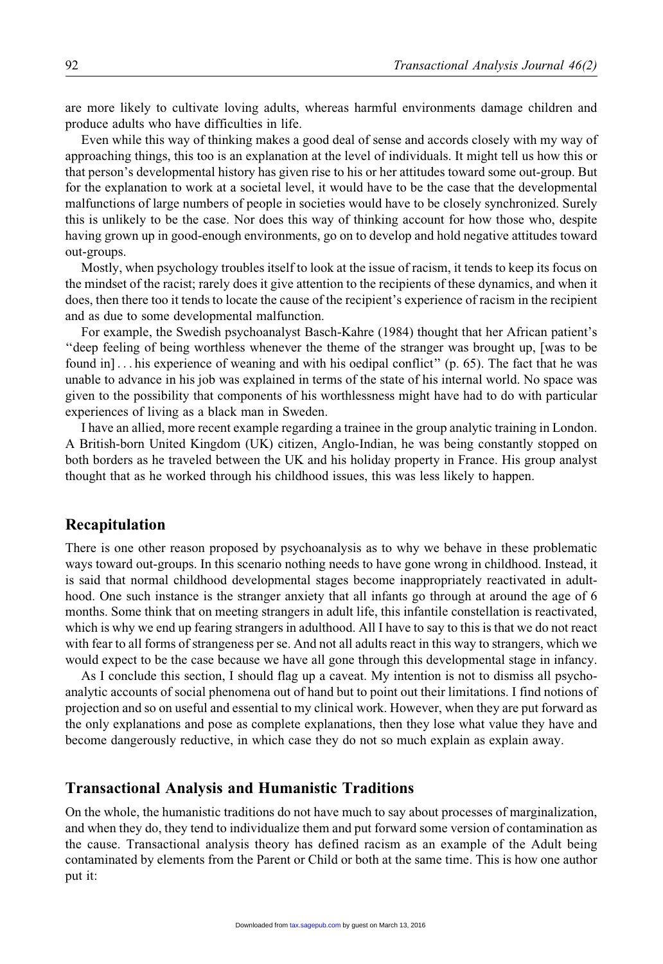are more likely to cultivate loving adults, whereas harmful environments damage children and produce adults who have difficulties in life.

Even while this way of thinking makes a good deal of sense and accords closely with my way of approaching things, this too is an explanation at the level of individuals. It might tell us how this or that person's developmental history has given rise to his or her attitudes toward some out-group. But for the explanation to work at a societal level, it would have to be the case that the developmental malfunctions of large numbers of people in societies would have to be closely synchronized. Surely this is unlikely to be the case. Nor does this way of thinking account for how those who, despite having grown up in good-enough environments, go on to develop and hold negative attitudes toward out-groups.

Mostly, when psychology troubles itself to look at the issue of racism, it tends to keep its focus on the mindset of the racist; rarely does it give attention to the recipients of these dynamics, and when it does, then there too it tends to locate the cause of the recipient's experience of racism in the recipient and as due to some developmental malfunction.

For example, the Swedish psychoanalyst Basch-Kahre (1984) thought that her African patient's ''deep feeling of being worthless whenever the theme of the stranger was brought up, [was to be found in]... his experience of weaning and with his oedipal conflict" (p. 65). The fact that he was unable to advance in his job was explained in terms of the state of his internal world. No space was given to the possibility that components of his worthlessness might have had to do with particular experiences of living as a black man in Sweden.

I have an allied, more recent example regarding a trainee in the group analytic training in London. A British-born United Kingdom (UK) citizen, Anglo-Indian, he was being constantly stopped on both borders as he traveled between the UK and his holiday property in France. His group analyst thought that as he worked through his childhood issues, this was less likely to happen.

## Recapitulation

There is one other reason proposed by psychoanalysis as to why we behave in these problematic ways toward out-groups. In this scenario nothing needs to have gone wrong in childhood. Instead, it is said that normal childhood developmental stages become inappropriately reactivated in adulthood. One such instance is the stranger anxiety that all infants go through at around the age of 6 months. Some think that on meeting strangers in adult life, this infantile constellation is reactivated, which is why we end up fearing strangers in adulthood. All I have to say to this is that we do not react with fear to all forms of strangeness per se. And not all adults react in this way to strangers, which we would expect to be the case because we have all gone through this developmental stage in infancy.

As I conclude this section, I should flag up a caveat. My intention is not to dismiss all psychoanalytic accounts of social phenomena out of hand but to point out their limitations. I find notions of projection and so on useful and essential to my clinical work. However, when they are put forward as the only explanations and pose as complete explanations, then they lose what value they have and become dangerously reductive, in which case they do not so much explain as explain away.

#### Transactional Analysis and Humanistic Traditions

On the whole, the humanistic traditions do not have much to say about processes of marginalization, and when they do, they tend to individualize them and put forward some version of contamination as the cause. Transactional analysis theory has defined racism as an example of the Adult being contaminated by elements from the Parent or Child or both at the same time. This is how one author put it: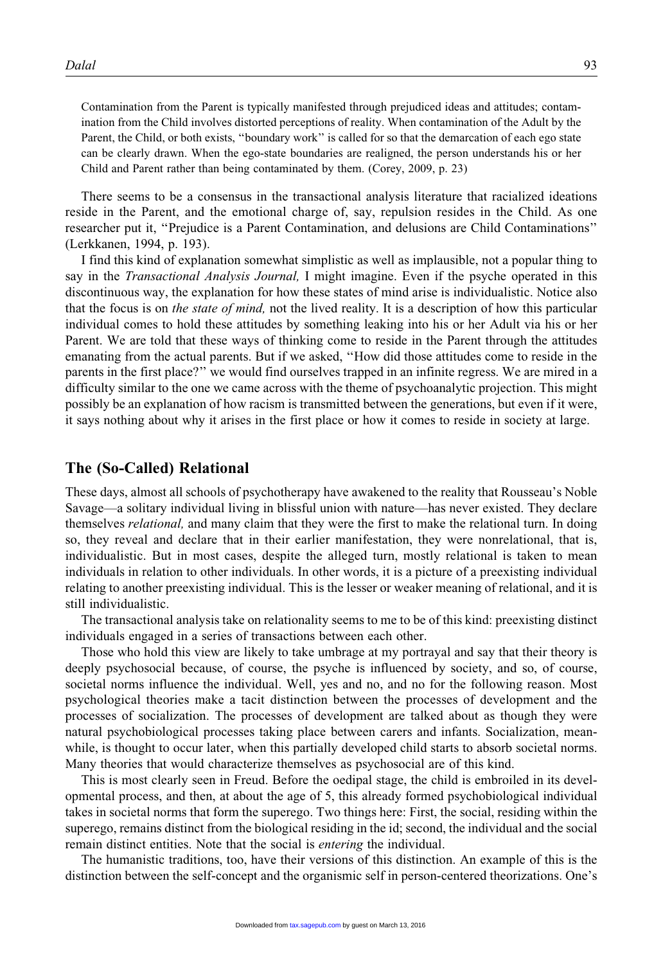Contamination from the Parent is typically manifested through prejudiced ideas and attitudes; contamination from the Child involves distorted perceptions of reality. When contamination of the Adult by the Parent, the Child, or both exists, ''boundary work'' is called for so that the demarcation of each ego state can be clearly drawn. When the ego-state boundaries are realigned, the person understands his or her Child and Parent rather than being contaminated by them. (Corey, 2009, p. 23)

There seems to be a consensus in the transactional analysis literature that racialized ideations reside in the Parent, and the emotional charge of, say, repulsion resides in the Child. As one researcher put it, ''Prejudice is a Parent Contamination, and delusions are Child Contaminations'' (Lerkkanen, 1994, p. 193).

I find this kind of explanation somewhat simplistic as well as implausible, not a popular thing to say in the *Transactional Analysis Journal*, I might imagine. Even if the psyche operated in this discontinuous way, the explanation for how these states of mind arise is individualistic. Notice also that the focus is on the state of mind, not the lived reality. It is a description of how this particular individual comes to hold these attitudes by something leaking into his or her Adult via his or her Parent. We are told that these ways of thinking come to reside in the Parent through the attitudes emanating from the actual parents. But if we asked, ''How did those attitudes come to reside in the parents in the first place?'' we would find ourselves trapped in an infinite regress. We are mired in a difficulty similar to the one we came across with the theme of psychoanalytic projection. This might possibly be an explanation of how racism is transmitted between the generations, but even if it were, it says nothing about why it arises in the first place or how it comes to reside in society at large.

#### The (So-Called) Relational

These days, almost all schools of psychotherapy have awakened to the reality that Rousseau's Noble Savage—a solitary individual living in blissful union with nature—has never existed. They declare themselves relational, and many claim that they were the first to make the relational turn. In doing so, they reveal and declare that in their earlier manifestation, they were nonrelational, that is, individualistic. But in most cases, despite the alleged turn, mostly relational is taken to mean individuals in relation to other individuals. In other words, it is a picture of a preexisting individual relating to another preexisting individual. This is the lesser or weaker meaning of relational, and it is still individualistic.

The transactional analysis take on relationality seems to me to be of this kind: preexisting distinct individuals engaged in a series of transactions between each other.

Those who hold this view are likely to take umbrage at my portrayal and say that their theory is deeply psychosocial because, of course, the psyche is influenced by society, and so, of course, societal norms influence the individual. Well, yes and no, and no for the following reason. Most psychological theories make a tacit distinction between the processes of development and the processes of socialization. The processes of development are talked about as though they were natural psychobiological processes taking place between carers and infants. Socialization, meanwhile, is thought to occur later, when this partially developed child starts to absorb societal norms. Many theories that would characterize themselves as psychosocial are of this kind.

This is most clearly seen in Freud. Before the oedipal stage, the child is embroiled in its developmental process, and then, at about the age of 5, this already formed psychobiological individual takes in societal norms that form the superego. Two things here: First, the social, residing within the superego, remains distinct from the biological residing in the id; second, the individual and the social remain distinct entities. Note that the social is entering the individual.

The humanistic traditions, too, have their versions of this distinction. An example of this is the distinction between the self-concept and the organismic self in person-centered theorizations. One's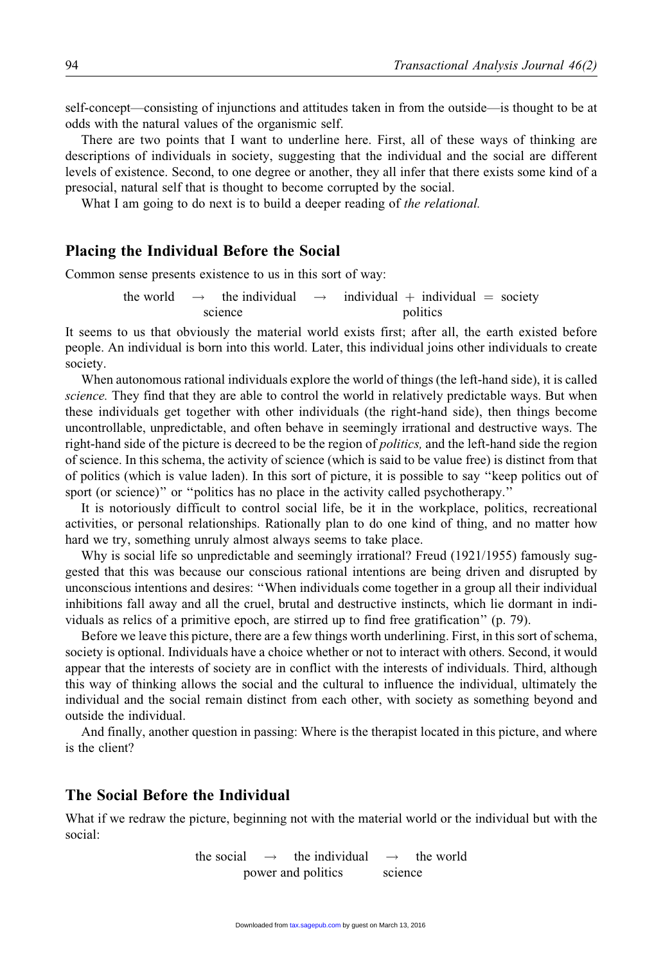self-concept—consisting of injunctions and attitudes taken in from the outside—is thought to be at odds with the natural values of the organismic self.

There are two points that I want to underline here. First, all of these ways of thinking are descriptions of individuals in society, suggesting that the individual and the social are different levels of existence. Second, to one degree or another, they all infer that there exists some kind of a presocial, natural self that is thought to become corrupted by the social.

What I am going to do next is to build a deeper reading of the relational.

#### Placing the Individual Before the Social

Common sense presents existence to us in this sort of way:

the world  $\rightarrow$  the individual  $\rightarrow$  individual  $+$  individual  $=$  society science politics

It seems to us that obviously the material world exists first; after all, the earth existed before people. An individual is born into this world. Later, this individual joins other individuals to create society.

When autonomous rational individuals explore the world of things (the left-hand side), it is called science. They find that they are able to control the world in relatively predictable ways. But when these individuals get together with other individuals (the right-hand side), then things become uncontrollable, unpredictable, and often behave in seemingly irrational and destructive ways. The right-hand side of the picture is decreed to be the region of politics, and the left-hand side the region of science. In this schema, the activity of science (which is said to be value free) is distinct from that of politics (which is value laden). In this sort of picture, it is possible to say ''keep politics out of sport (or science)" or "politics has no place in the activity called psychotherapy."

It is notoriously difficult to control social life, be it in the workplace, politics, recreational activities, or personal relationships. Rationally plan to do one kind of thing, and no matter how hard we try, something unruly almost always seems to take place.

Why is social life so unpredictable and seemingly irrational? Freud (1921/1955) famously suggested that this was because our conscious rational intentions are being driven and disrupted by unconscious intentions and desires: ''When individuals come together in a group all their individual inhibitions fall away and all the cruel, brutal and destructive instincts, which lie dormant in individuals as relics of a primitive epoch, are stirred up to find free gratification'' (p. 79).

Before we leave this picture, there are a few things worth underlining. First, in this sort of schema, society is optional. Individuals have a choice whether or not to interact with others. Second, it would appear that the interests of society are in conflict with the interests of individuals. Third, although this way of thinking allows the social and the cultural to influence the individual, ultimately the individual and the social remain distinct from each other, with society as something beyond and outside the individual.

And finally, another question in passing: Where is the therapist located in this picture, and where is the client?

#### The Social Before the Individual

What if we redraw the picture, beginning not with the material world or the individual but with the social:

> the social  $\rightarrow$  the individual  $\rightarrow$  the world power and politics science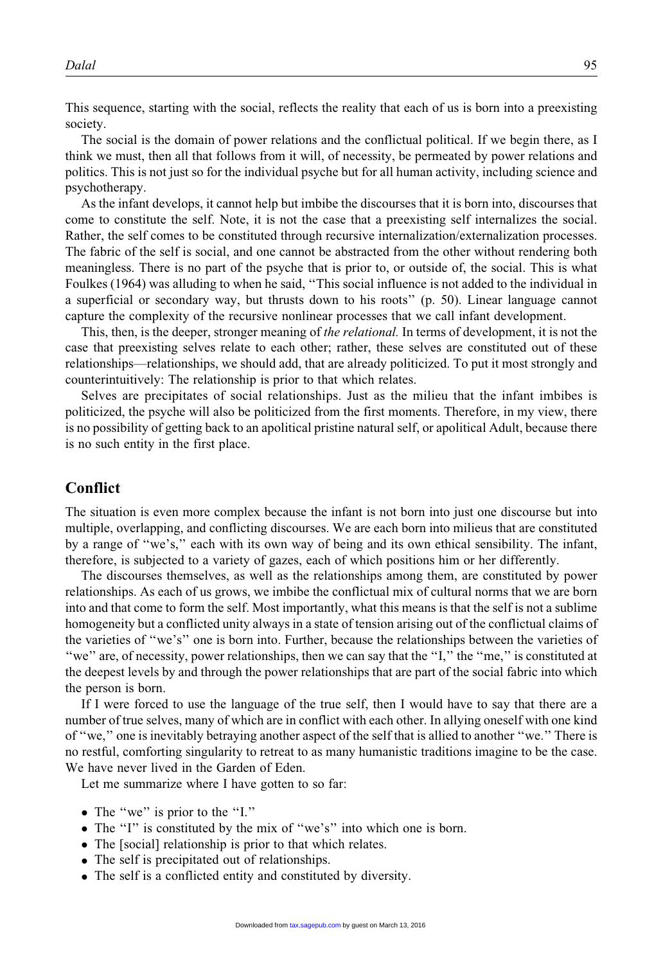This sequence, starting with the social, reflects the reality that each of us is born into a preexisting society.

The social is the domain of power relations and the conflictual political. If we begin there, as I think we must, then all that follows from it will, of necessity, be permeated by power relations and politics. This is not just so for the individual psyche but for all human activity, including science and psychotherapy.

As the infant develops, it cannot help but imbibe the discourses that it is born into, discourses that come to constitute the self. Note, it is not the case that a preexisting self internalizes the social. Rather, the self comes to be constituted through recursive internalization/externalization processes. The fabric of the self is social, and one cannot be abstracted from the other without rendering both meaningless. There is no part of the psyche that is prior to, or outside of, the social. This is what Foulkes (1964) was alluding to when he said, ''This social influence is not added to the individual in a superficial or secondary way, but thrusts down to his roots'' (p. 50). Linear language cannot capture the complexity of the recursive nonlinear processes that we call infant development.

This, then, is the deeper, stronger meaning of *the relational*. In terms of development, it is not the case that preexisting selves relate to each other; rather, these selves are constituted out of these relationships—relationships, we should add, that are already politicized. To put it most strongly and counterintuitively: The relationship is prior to that which relates.

Selves are precipitates of social relationships. Just as the milieu that the infant imbibes is politicized, the psyche will also be politicized from the first moments. Therefore, in my view, there is no possibility of getting back to an apolitical pristine natural self, or apolitical Adult, because there is no such entity in the first place.

## Conflict

The situation is even more complex because the infant is not born into just one discourse but into multiple, overlapping, and conflicting discourses. We are each born into milieus that are constituted by a range of ''we's,'' each with its own way of being and its own ethical sensibility. The infant, therefore, is subjected to a variety of gazes, each of which positions him or her differently.

The discourses themselves, as well as the relationships among them, are constituted by power relationships. As each of us grows, we imbibe the conflictual mix of cultural norms that we are born into and that come to form the self. Most importantly, what this means is that the self is not a sublime homogeneity but a conflicted unity always in a state of tension arising out of the conflictual claims of the varieties of ''we's'' one is born into. Further, because the relationships between the varieties of ''we'' are, of necessity, power relationships, then we can say that the ''I,'' the ''me,'' is constituted at the deepest levels by and through the power relationships that are part of the social fabric into which the person is born.

If I were forced to use the language of the true self, then I would have to say that there are a number of true selves, many of which are in conflict with each other. In allying oneself with one kind of ''we,'' one is inevitably betraying another aspect of the self that is allied to another ''we.'' There is no restful, comforting singularity to retreat to as many humanistic traditions imagine to be the case. We have never lived in the Garden of Eden.

Let me summarize where I have gotten to so far:

- The "we" is prior to the "I."
- The "I" is constituted by the mix of "we's" into which one is born.
- The [social] relationship is prior to that which relates.
- The self is precipitated out of relationships.
- The self is a conflicted entity and constituted by diversity.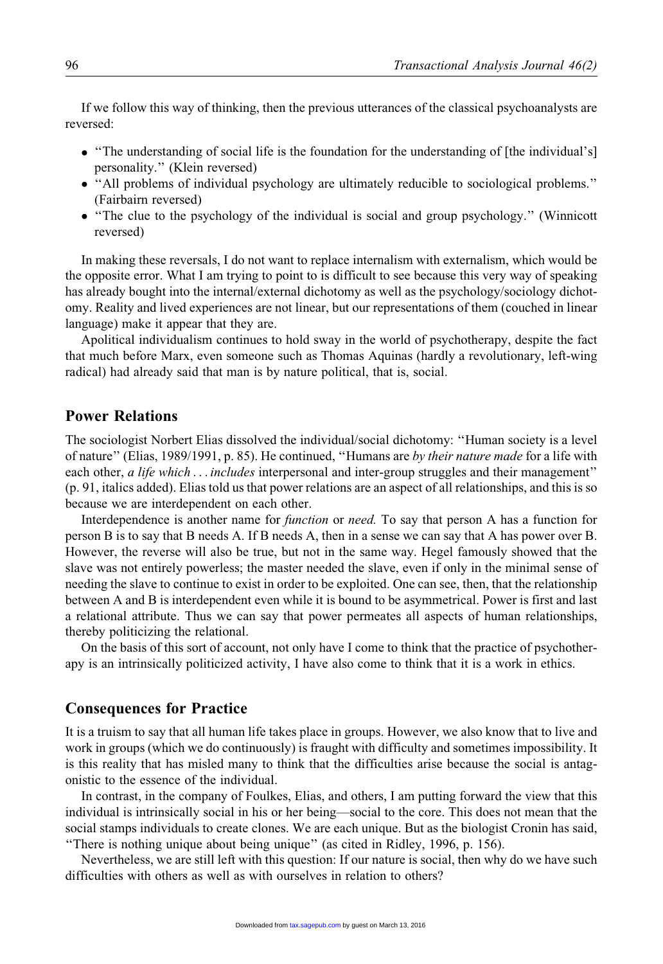If we follow this way of thinking, then the previous utterances of the classical psychoanalysts are reversed:

- "The understanding of social life is the foundation for the understanding of [the individual's] personality.'' (Klein reversed)
- "All problems of individual psychology are ultimately reducible to sociological problems." (Fairbairn reversed)
- "The clue to the psychology of the individual is social and group psychology." (Winnicott reversed)

In making these reversals, I do not want to replace internalism with externalism, which would be the opposite error. What I am trying to point to is difficult to see because this very way of speaking has already bought into the internal/external dichotomy as well as the psychology/sociology dichotomy. Reality and lived experiences are not linear, but our representations of them (couched in linear language) make it appear that they are.

Apolitical individualism continues to hold sway in the world of psychotherapy, despite the fact that much before Marx, even someone such as Thomas Aquinas (hardly a revolutionary, left-wing radical) had already said that man is by nature political, that is, social.

## Power Relations

The sociologist Norbert Elias dissolved the individual/social dichotomy: ''Human society is a level of nature'' (Elias, 1989/1991, p. 85). He continued, ''Humans are by their nature made for a life with each other, a life which ... includes interpersonal and inter-group struggles and their management" (p. 91, italics added). Elias told us that power relations are an aspect of all relationships, and this is so because we are interdependent on each other.

Interdependence is another name for *function* or *need*. To say that person A has a function for person B is to say that B needs A. If B needs A, then in a sense we can say that A has power over B. However, the reverse will also be true, but not in the same way. Hegel famously showed that the slave was not entirely powerless; the master needed the slave, even if only in the minimal sense of needing the slave to continue to exist in order to be exploited. One can see, then, that the relationship between A and B is interdependent even while it is bound to be asymmetrical. Power is first and last a relational attribute. Thus we can say that power permeates all aspects of human relationships, thereby politicizing the relational.

On the basis of this sort of account, not only have I come to think that the practice of psychotherapy is an intrinsically politicized activity, I have also come to think that it is a work in ethics.

#### Consequences for Practice

It is a truism to say that all human life takes place in groups. However, we also know that to live and work in groups (which we do continuously) is fraught with difficulty and sometimes impossibility. It is this reality that has misled many to think that the difficulties arise because the social is antagonistic to the essence of the individual.

In contrast, in the company of Foulkes, Elias, and others, I am putting forward the view that this individual is intrinsically social in his or her being—social to the core. This does not mean that the social stamps individuals to create clones. We are each unique. But as the biologist Cronin has said, "There is nothing unique about being unique" (as cited in Ridley, 1996, p. 156).

Nevertheless, we are still left with this question: If our nature is social, then why do we have such difficulties with others as well as with ourselves in relation to others?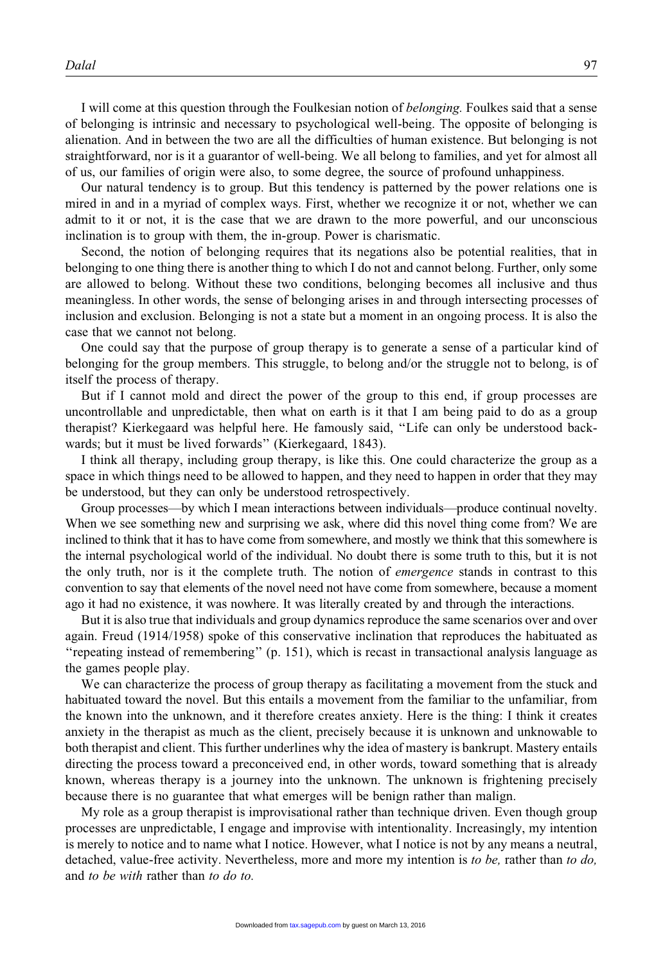I will come at this question through the Foulkesian notion of belonging. Foulkes said that a sense of belonging is intrinsic and necessary to psychological well-being. The opposite of belonging is alienation. And in between the two are all the difficulties of human existence. But belonging is not straightforward, nor is it a guarantor of well-being. We all belong to families, and yet for almost all of us, our families of origin were also, to some degree, the source of profound unhappiness.

Our natural tendency is to group. But this tendency is patterned by the power relations one is mired in and in a myriad of complex ways. First, whether we recognize it or not, whether we can admit to it or not, it is the case that we are drawn to the more powerful, and our unconscious inclination is to group with them, the in-group. Power is charismatic.

Second, the notion of belonging requires that its negations also be potential realities, that in belonging to one thing there is another thing to which I do not and cannot belong. Further, only some are allowed to belong. Without these two conditions, belonging becomes all inclusive and thus meaningless. In other words, the sense of belonging arises in and through intersecting processes of inclusion and exclusion. Belonging is not a state but a moment in an ongoing process. It is also the case that we cannot not belong.

One could say that the purpose of group therapy is to generate a sense of a particular kind of belonging for the group members. This struggle, to belong and/or the struggle not to belong, is of itself the process of therapy.

But if I cannot mold and direct the power of the group to this end, if group processes are uncontrollable and unpredictable, then what on earth is it that I am being paid to do as a group therapist? Kierkegaard was helpful here. He famously said, ''Life can only be understood backwards; but it must be lived forwards'' (Kierkegaard, 1843).

I think all therapy, including group therapy, is like this. One could characterize the group as a space in which things need to be allowed to happen, and they need to happen in order that they may be understood, but they can only be understood retrospectively.

Group processes—by which I mean interactions between individuals—produce continual novelty. When we see something new and surprising we ask, where did this novel thing come from? We are inclined to think that it has to have come from somewhere, and mostly we think that this somewhere is the internal psychological world of the individual. No doubt there is some truth to this, but it is not the only truth, nor is it the complete truth. The notion of emergence stands in contrast to this convention to say that elements of the novel need not have come from somewhere, because a moment ago it had no existence, it was nowhere. It was literally created by and through the interactions.

But it is also true that individuals and group dynamics reproduce the same scenarios over and over again. Freud (1914/1958) spoke of this conservative inclination that reproduces the habituated as ''repeating instead of remembering'' (p. 151), which is recast in transactional analysis language as the games people play.

We can characterize the process of group therapy as facilitating a movement from the stuck and habituated toward the novel. But this entails a movement from the familiar to the unfamiliar, from the known into the unknown, and it therefore creates anxiety. Here is the thing: I think it creates anxiety in the therapist as much as the client, precisely because it is unknown and unknowable to both therapist and client. This further underlines why the idea of mastery is bankrupt. Mastery entails directing the process toward a preconceived end, in other words, toward something that is already known, whereas therapy is a journey into the unknown. The unknown is frightening precisely because there is no guarantee that what emerges will be benign rather than malign.

My role as a group therapist is improvisational rather than technique driven. Even though group processes are unpredictable, I engage and improvise with intentionality. Increasingly, my intention is merely to notice and to name what I notice. However, what I notice is not by any means a neutral, detached, value-free activity. Nevertheless, more and more my intention is to be, rather than to do, and to be with rather than to do to.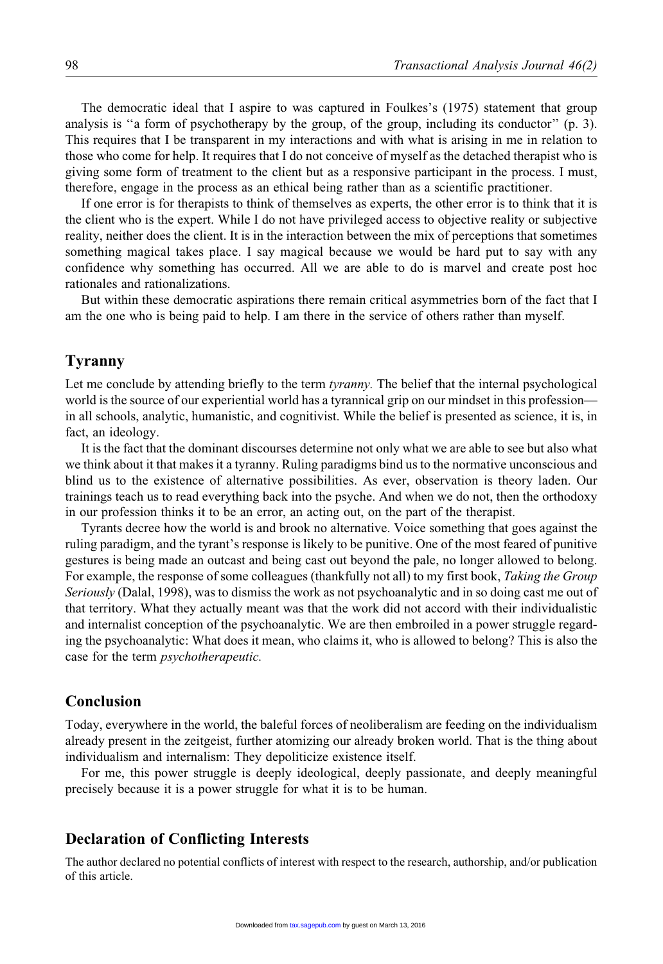The democratic ideal that I aspire to was captured in Foulkes's (1975) statement that group analysis is "a form of psychotherapy by the group, of the group, including its conductor" (p. 3). This requires that I be transparent in my interactions and with what is arising in me in relation to those who come for help. It requires that I do not conceive of myself as the detached therapist who is giving some form of treatment to the client but as a responsive participant in the process. I must, therefore, engage in the process as an ethical being rather than as a scientific practitioner.

If one error is for therapists to think of themselves as experts, the other error is to think that it is the client who is the expert. While I do not have privileged access to objective reality or subjective reality, neither does the client. It is in the interaction between the mix of perceptions that sometimes something magical takes place. I say magical because we would be hard put to say with any confidence why something has occurred. All we are able to do is marvel and create post hoc rationales and rationalizations.

But within these democratic aspirations there remain critical asymmetries born of the fact that I am the one who is being paid to help. I am there in the service of others rather than myself.

## Tyranny

Let me conclude by attending briefly to the term tyranny. The belief that the internal psychological world is the source of our experiential world has a tyrannical grip on our mindset in this profession in all schools, analytic, humanistic, and cognitivist. While the belief is presented as science, it is, in fact, an ideology.

It is the fact that the dominant discourses determine not only what we are able to see but also what we think about it that makes it a tyranny. Ruling paradigms bind us to the normative unconscious and blind us to the existence of alternative possibilities. As ever, observation is theory laden. Our trainings teach us to read everything back into the psyche. And when we do not, then the orthodoxy in our profession thinks it to be an error, an acting out, on the part of the therapist.

Tyrants decree how the world is and brook no alternative. Voice something that goes against the ruling paradigm, and the tyrant's response is likely to be punitive. One of the most feared of punitive gestures is being made an outcast and being cast out beyond the pale, no longer allowed to belong. For example, the response of some colleagues (thankfully not all) to my first book, Taking the Group Seriously (Dalal, 1998), was to dismiss the work as not psychoanalytic and in so doing cast me out of that territory. What they actually meant was that the work did not accord with their individualistic and internalist conception of the psychoanalytic. We are then embroiled in a power struggle regarding the psychoanalytic: What does it mean, who claims it, who is allowed to belong? This is also the case for the term psychotherapeutic.

# Conclusion

Today, everywhere in the world, the baleful forces of neoliberalism are feeding on the individualism already present in the zeitgeist, further atomizing our already broken world. That is the thing about individualism and internalism: They depoliticize existence itself.

For me, this power struggle is deeply ideological, deeply passionate, and deeply meaningful precisely because it is a power struggle for what it is to be human.

# Declaration of Conflicting Interests

The author declared no potential conflicts of interest with respect to the research, authorship, and/or publication of this article.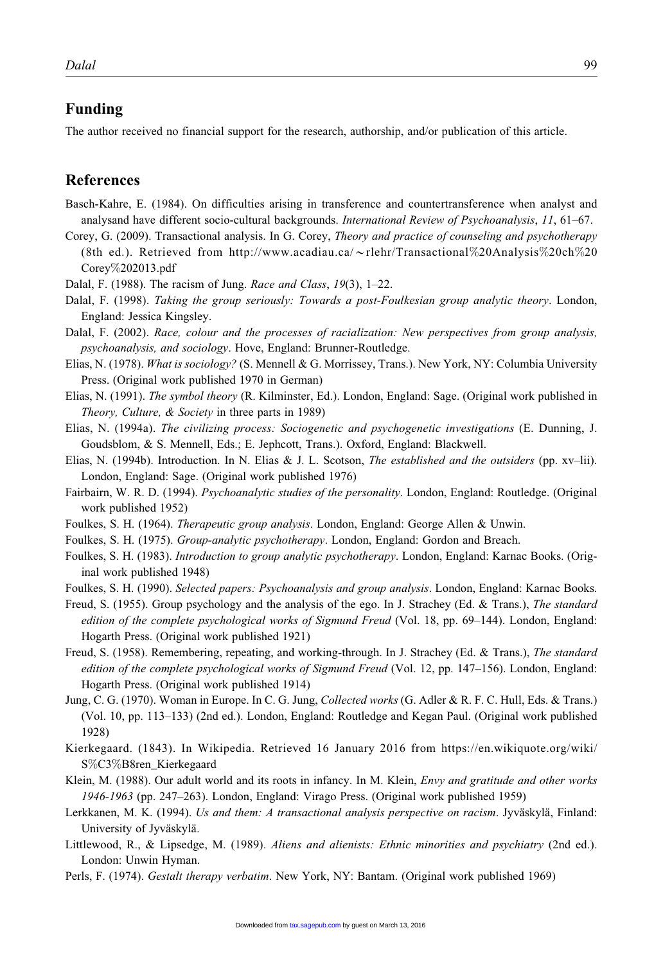# Funding

The author received no financial support for the research, authorship, and/or publication of this article.

## References

Basch-Kahre, E. (1984). On difficulties arising in transference and countertransference when analyst and analysand have different socio-cultural backgrounds. International Review of Psychoanalysis, 11, 61–67.

- Corey, G. (2009). Transactional analysis. In G. Corey, Theory and practice of counseling and psychotherapy (8th ed.). Retrieved from [http://www.acadiau.ca/](http://www.acadiau.ca/~rlehr/Transactional%20Analysis%20ch%20Corey%202013.pdf) $\sim$ [rlehr/Transactional](http://www.acadiau.ca/~rlehr/Transactional%20Analysis%20ch%20Corey%202013.pdf)%[20Analysis](http://www.acadiau.ca/~rlehr/Transactional%20Analysis%20ch%20Corey%202013.pdf)%[20ch](http://www.acadiau.ca/~rlehr/Transactional%20Analysis%20ch%20Corey%202013.pdf)%[20](http://www.acadiau.ca/~rlehr/Transactional%20Analysis%20ch%20Corey%202013.pdf) [Corey](http://www.acadiau.ca/~rlehr/Transactional%20Analysis%20ch%20Corey%202013.pdf)%[202013.pdf](http://www.acadiau.ca/~rlehr/Transactional%20Analysis%20ch%20Corey%202013.pdf)
- Dalal, F. (1988). The racism of Jung. Race and Class, 19(3), 1–22.
- Dalal, F. (1998). Taking the group seriously: Towards a post-Foulkesian group analytic theory. London, England: Jessica Kingsley.
- Dalal, F. (2002). Race, colour and the processes of racialization: New perspectives from group analysis, psychoanalysis, and sociology. Hove, England: Brunner-Routledge.
- Elias, N. (1978). What is sociology? (S. Mennell & G. Morrissey, Trans.). New York, NY: Columbia University Press. (Original work published 1970 in German)
- Elias, N. (1991). The symbol theory (R. Kilminster, Ed.). London, England: Sage. (Original work published in Theory, Culture, & Society in three parts in 1989)
- Elias, N. (1994a). The civilizing process: Sociogenetic and psychogenetic investigations (E. Dunning, J. Goudsblom, & S. Mennell, Eds.; E. Jephcott, Trans.). Oxford, England: Blackwell.
- Elias, N. (1994b). Introduction. In N. Elias & J. L. Scotson, The established and the outsiders (pp. xv–lii). London, England: Sage. (Original work published 1976)
- Fairbairn, W. R. D. (1994). Psychoanalytic studies of the personality. London, England: Routledge. (Original work published 1952)
- Foulkes, S. H. (1964). Therapeutic group analysis. London, England: George Allen & Unwin.
- Foulkes, S. H. (1975). Group-analytic psychotherapy. London, England: Gordon and Breach.
- Foulkes, S. H. (1983). Introduction to group analytic psychotherapy. London, England: Karnac Books. (Original work published 1948)
- Foulkes, S. H. (1990). Selected papers: Psychoanalysis and group analysis. London, England: Karnac Books.
- Freud, S. (1955). Group psychology and the analysis of the ego. In J. Strachey (Ed. & Trans.), The standard edition of the complete psychological works of Sigmund Freud (Vol. 18, pp. 69–144). London, England: Hogarth Press. (Original work published 1921)
- Freud, S. (1958). Remembering, repeating, and working-through. In J. Strachey (Ed. & Trans.), The standard edition of the complete psychological works of Sigmund Freud (Vol. 12, pp. 147–156). London, England: Hogarth Press. (Original work published 1914)
- Jung, C. G. (1970). Woman in Europe. In C. G. Jung, Collected works (G. Adler & R. F. C. Hull, Eds. & Trans.) (Vol. 10, pp. 113–133) (2nd ed.). London, England: Routledge and Kegan Paul. (Original work published 1928)
- Kierkegaard. (1843). In Wikipedia. Retrieved 16 January 2016 from [https://en.wikiquote.org/wiki/](https://en.wikiquote.org/wiki/S%C3%B8ren_Kierkegaard) [S](https://en.wikiquote.org/wiki/S%C3%B8ren_Kierkegaard)%[C3](https://en.wikiquote.org/wiki/S%C3%B8ren_Kierkegaard)%[B8ren\\_Kierkegaard](https://en.wikiquote.org/wiki/S%C3%B8ren_Kierkegaard)
- Klein, M. (1988). Our adult world and its roots in infancy. In M. Klein, Envy and gratitude and other works 1946-1963 (pp. 247–263). London, England: Virago Press. (Original work published 1959)
- Lerkkanen, M. K. (1994). Us and them: A transactional analysis perspective on racism. Jyväskylä, Finland: University of Jyväskylä.
- Littlewood, R., & Lipsedge, M. (1989). Aliens and alienists: Ethnic minorities and psychiatry (2nd ed.). London: Unwin Hyman.
- Perls, F. (1974). Gestalt therapy verbatim. New York, NY: Bantam. (Original work published 1969)